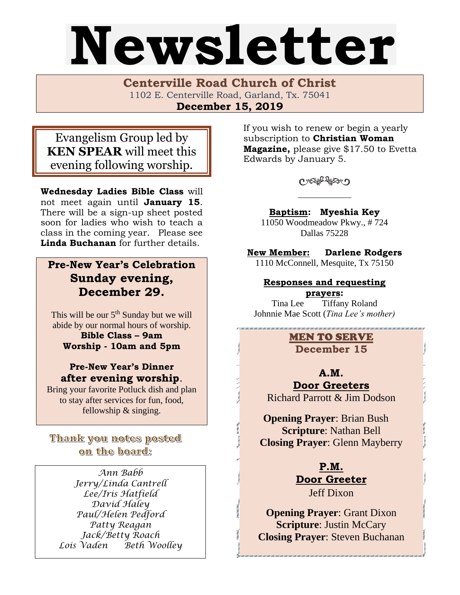# Newsletter

**Centerville Road Church of Christ**  1102 E. Centerville Road, Garland, Tx. 75041 **December 15, 2019**

Evangelism Group led by **KEN SPEAR** will meet this evening following worship.

**Wednesday Ladies Bible Class** will not meet again until **January 15**. There will be a sign-up sheet posted soon for ladies who wish to teach a class in the coming year. Please see **Linda Buchanan** for further details.

# **Pre-New Year's Celebration Sunday evening, December 29.**

This will be our  $5<sup>th</sup>$  Sunday but we will abide by our normal hours of worship.

**Bible Class – 9am Worship - 10am and 5pm**

**Pre-New Year's Dinner after evening worship**.

Bring your favorite Potluck dish and plan to stay after services for fun, food, fellowship & singing.

# Thank you notes posted on the board:

*Ann Babb Jerry/Linda Cantrell Lee/Iris Hatfield David Haley Paul/Helen Pedford Patty Reagan Jack/Betty Roach Lois Vaden Beth Woolley* If you wish to renew or begin a yearly subscription to **Christian Woman Magazine,** please give \$17.50 to Evetta Edwards by January 5.

Coffero

**Baptism: Myeshia Key** 

11050 Woodmeadow Pkwy., # 724 Dallas 75228

**New Member: Darlene Rodgers** 1110 McConnell, Mesquite, Tx 75150

### **Responses and requesting prayers:**

Tina Lee Tiffany Roland Johnnie Mae Scott (*Tina Lee's mother)*

> MEN TO SERVE **December 15**

> > **A.M.**

**Door Greeters** Richard Parrott & Jim Dodson

 **Opening Prayer**: Brian Bush **Scripture**: Nathan Bell **Closing Prayer**: Glenn Mayberry

> **P.M. Door Greeter** Jeff Dixon

**Opening Prayer**: Grant Dixon **Scripture**: Justin McCary **Closing Prayer**: Steven Buchanan